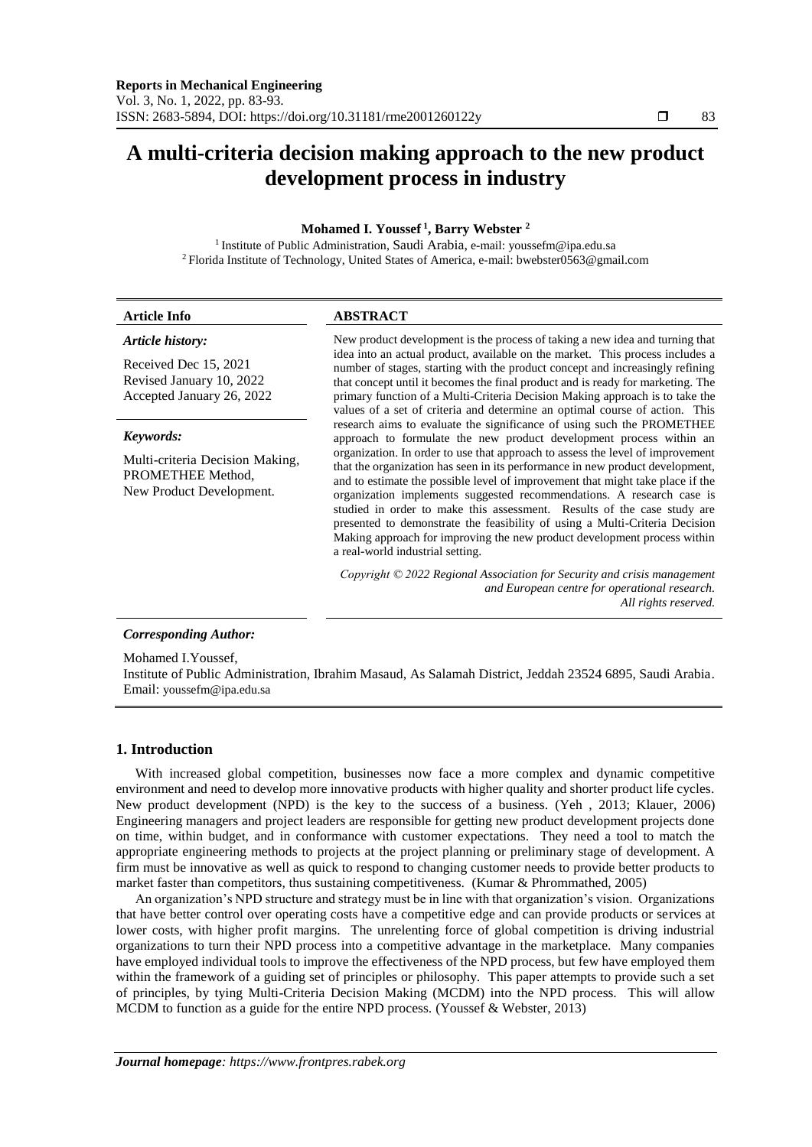# **A multi-criteria decision making approach to the new product development process in industry**

# **Mohamed I. Youssef <sup>1</sup> , Barry Webster <sup>2</sup>**

<sup>1</sup> Institute of Public Administration, Saudi Arabia, e-mail: youssefm@ipa.edu.sa <sup>2</sup> Florida Institute of Technology, United States of America, e-mail: bwebster0563@gmail.com

| <b>Article Info</b>                                                              | <b>ABSTRACT</b>                                                                                                                                                                                                                                                                                                                                                                                                                                                                                                                                                                                      |
|----------------------------------------------------------------------------------|------------------------------------------------------------------------------------------------------------------------------------------------------------------------------------------------------------------------------------------------------------------------------------------------------------------------------------------------------------------------------------------------------------------------------------------------------------------------------------------------------------------------------------------------------------------------------------------------------|
| Article history:                                                                 | New product development is the process of taking a new idea and turning that                                                                                                                                                                                                                                                                                                                                                                                                                                                                                                                         |
| Received Dec 15, 2021<br>Revised January 10, 2022<br>Accepted January 26, 2022   | idea into an actual product, available on the market. This process includes a<br>number of stages, starting with the product concept and increasingly refining<br>that concept until it becomes the final product and is ready for marketing. The<br>primary function of a Multi-Criteria Decision Making approach is to take the<br>values of a set of criteria and determine an optimal course of action. This                                                                                                                                                                                     |
| Keywords:                                                                        | research aims to evaluate the significance of using such the PROMETHEE<br>approach to formulate the new product development process within an                                                                                                                                                                                                                                                                                                                                                                                                                                                        |
| Multi-criteria Decision Making,<br>PROMETHEE Method,<br>New Product Development. | organization. In order to use that approach to assess the level of improvement<br>that the organization has seen in its performance in new product development,<br>and to estimate the possible level of improvement that might take place if the<br>organization implements suggested recommendations. A research case is<br>studied in order to make this assessment. Results of the case study are<br>presented to demonstrate the feasibility of using a Multi-Criteria Decision<br>Making approach for improving the new product development process within<br>a real-world industrial setting. |
|                                                                                  | Copyright $\odot$ 2022 Regional Association for Security and crisis management<br>and European centre for operational research.<br>All rights reserved.                                                                                                                                                                                                                                                                                                                                                                                                                                              |
| <b>Corresponding Author:</b>                                                     |                                                                                                                                                                                                                                                                                                                                                                                                                                                                                                                                                                                                      |
| Mohamed I.Youssef.                                                               |                                                                                                                                                                                                                                                                                                                                                                                                                                                                                                                                                                                                      |

Institute of Public Administration, Ibrahim Masaud, As Salamah District, Jeddah 23524 6895, Saudi Arabia. Email: youssefm@ipa.edu.sa

# **1. Introduction**

With increased global competition, businesses now face a more complex and dynamic competitive environment and need to develop more innovative products with higher quality and shorter product life cycles. New product development (NPD) is the key to the success of a business. (Yeh , 2013; Klauer, 2006) Engineering managers and project leaders are responsible for getting new product development projects done on time, within budget, and in conformance with customer expectations. They need a tool to match the appropriate engineering methods to projects at the project planning or preliminary stage of development. A firm must be innovative as well as quick to respond to changing customer needs to provide better products to market faster than competitors, thus sustaining competitiveness. (Kumar & Phrommathed, 2005)

An organization's NPD structure and strategy must be in line with that organization's vision. Organizations that have better control over operating costs have a competitive edge and can provide products or services at lower costs, with higher profit margins. The unrelenting force of global competition is driving industrial organizations to turn their NPD process into a competitive advantage in the marketplace. Many companies have employed individual tools to improve the effectiveness of the NPD process, but few have employed them within the framework of a guiding set of principles or philosophy. This paper attempts to provide such a set of principles, by tying Multi-Criteria Decision Making (MCDM) into the NPD process. This will allow MCDM to function as a guide for the entire NPD process. (Youssef & Webster, 2013)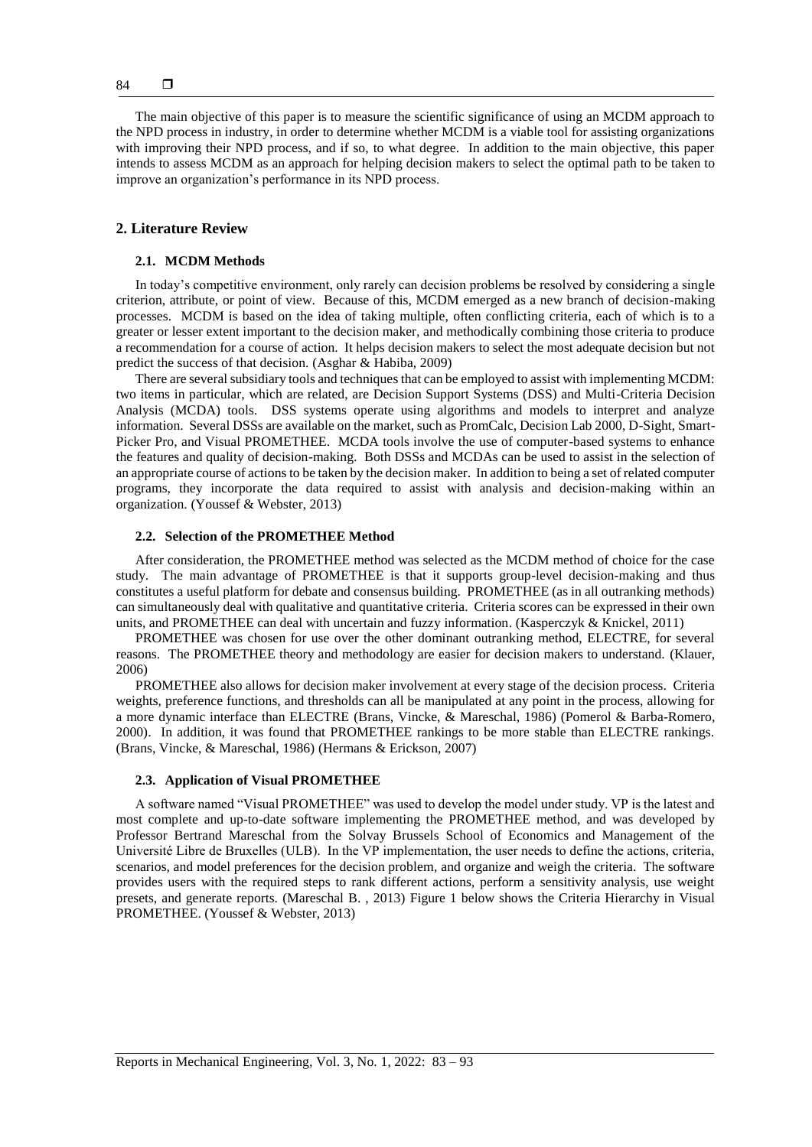The main objective of this paper is to measure the scientific significance of using an MCDM approach to the NPD process in industry, in order to determine whether MCDM is a viable tool for assisting organizations with improving their NPD process, and if so, to what degree. In addition to the main objective, this paper intends to assess MCDM as an approach for helping decision makers to select the optimal path to be taken to improve an organization's performance in its NPD process.

# **2. Literature Review**

## **2.1. MCDM Methods**

In today's competitive environment, only rarely can decision problems be resolved by considering a single criterion, attribute, or point of view. Because of this, MCDM emerged as a new branch of decision-making processes. MCDM is based on the idea of taking multiple, often conflicting criteria, each of which is to a greater or lesser extent important to the decision maker, and methodically combining those criteria to produce a recommendation for a course of action. It helps decision makers to select the most adequate decision but not predict the success of that decision. (Asghar & Habiba, 2009)

There are several subsidiary tools and techniques that can be employed to assist with implementing MCDM: two items in particular, which are related, are Decision Support Systems (DSS) and Multi-Criteria Decision Analysis (MCDA) tools. DSS systems operate using algorithms and models to interpret and analyze information. Several DSSs are available on the market, such as PromCalc, Decision Lab 2000, D-Sight, Smart-Picker Pro, and Visual PROMETHEE. MCDA tools involve the use of computer-based systems to enhance the features and quality of decision-making. Both DSSs and MCDAs can be used to assist in the selection of an appropriate course of actions to be taken by the decision maker. In addition to being a set of related computer programs, they incorporate the data required to assist with analysis and decision-making within an organization. (Youssef & Webster, 2013)

## **2.2. Selection of the PROMETHEE Method**

After consideration, the PROMETHEE method was selected as the MCDM method of choice for the case study. The main advantage of PROMETHEE is that it supports group-level decision-making and thus constitutes a useful platform for debate and consensus building. PROMETHEE (as in all outranking methods) can simultaneously deal with qualitative and quantitative criteria. Criteria scores can be expressed in their own units, and PROMETHEE can deal with uncertain and fuzzy information. (Kasperczyk & Knickel, 2011)

PROMETHEE was chosen for use over the other dominant outranking method, ELECTRE, for several reasons. The PROMETHEE theory and methodology are easier for decision makers to understand. (Klauer, 2006)

PROMETHEE also allows for decision maker involvement at every stage of the decision process. Criteria weights, preference functions, and thresholds can all be manipulated at any point in the process, allowing for a more dynamic interface than ELECTRE (Brans, Vincke, & Mareschal, 1986) (Pomerol & Barba-Romero, 2000). In addition, it was found that PROMETHEE rankings to be more stable than ELECTRE rankings. (Brans, Vincke, & Mareschal, 1986) (Hermans & Erickson, 2007)

#### **2.3. Application of Visual PROMETHEE**

A software named "Visual PROMETHEE" was used to develop the model under study. VP is the latest and most complete and up-to-date software implementing the PROMETHEE method, and was developed by Professor Bertrand Mareschal from the Solvay Brussels School of Economics and Management of the Université Libre de Bruxelles (ULB). In the VP implementation, the user needs to define the actions, criteria, scenarios, and model preferences for the decision problem, and organize and weigh the criteria. The software provides users with the required steps to rank different actions, perform a sensitivity analysis, use weight presets, and generate reports. (Mareschal B. , 2013) Figure 1 below shows the Criteria Hierarchy in Visual PROMETHEE. (Youssef & Webster, 2013)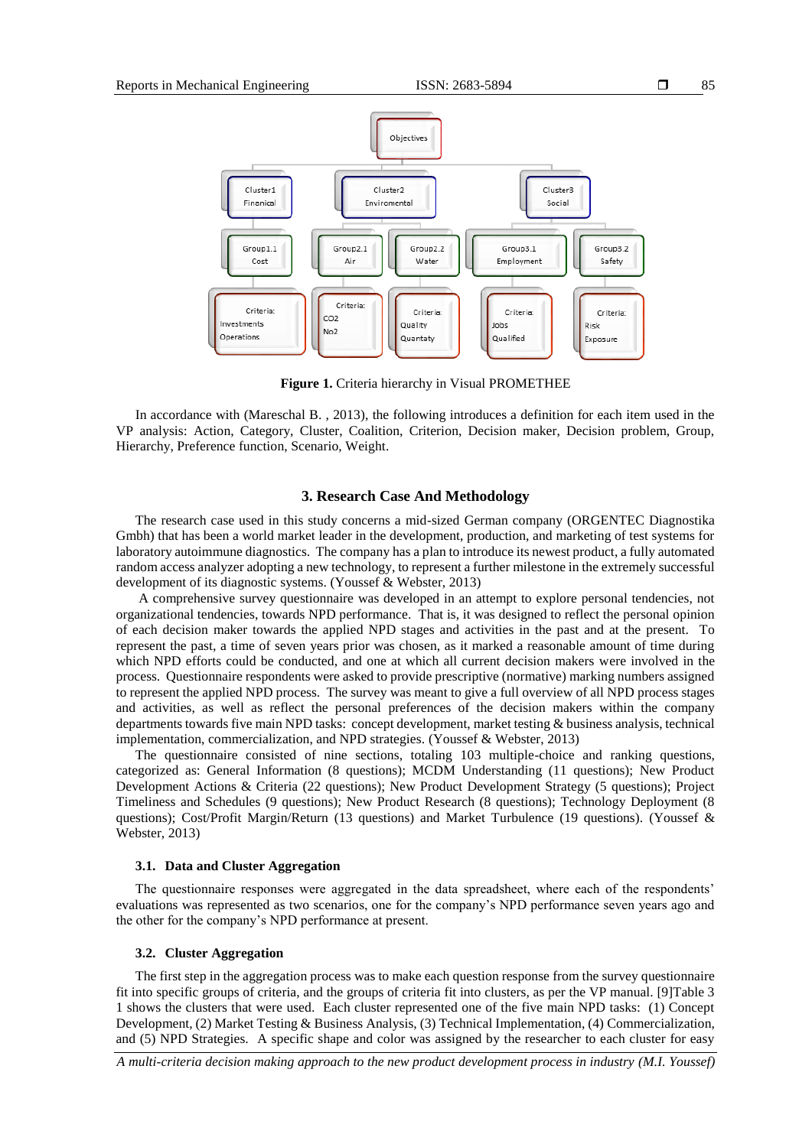

**Figure 1.** Criteria hierarchy in Visual PROMETHEE

In accordance with (Mareschal B. , 2013), the following introduces a definition for each item used in the VP analysis: Action, Category, Cluster, Coalition, Criterion, Decision maker, Decision problem, Group, Hierarchy, Preference function, Scenario, Weight.

#### **3. Research Case And Methodology**

The research case used in this study concerns a mid-sized German company (ORGENTEC Diagnostika Gmbh) that has been a world market leader in the development, production, and marketing of test systems for laboratory autoimmune diagnostics. The company has a plan to introduce its newest product, a fully automated random access analyzer adopting a new technology, to represent a further milestone in the extremely successful development of its diagnostic systems. (Youssef & Webster, 2013)

A comprehensive survey questionnaire was developed in an attempt to explore personal tendencies, not organizational tendencies, towards NPD performance. That is, it was designed to reflect the personal opinion of each decision maker towards the applied NPD stages and activities in the past and at the present. To represent the past, a time of seven years prior was chosen, as it marked a reasonable amount of time during which NPD efforts could be conducted, and one at which all current decision makers were involved in the process. Questionnaire respondents were asked to provide prescriptive (normative) marking numbers assigned to represent the applied NPD process. The survey was meant to give a full overview of all NPD process stages and activities, as well as reflect the personal preferences of the decision makers within the company departments towards five main NPD tasks: concept development, market testing & business analysis, technical implementation, commercialization, and NPD strategies. (Youssef & Webster, 2013)

The questionnaire consisted of nine sections, totaling 103 multiple-choice and ranking questions, categorized as: General Information (8 questions); MCDM Understanding (11 questions); New Product Development Actions & Criteria (22 questions); New Product Development Strategy (5 questions); Project Timeliness and Schedules (9 questions); New Product Research (8 questions); Technology Deployment (8 questions); Cost/Profit Margin/Return (13 questions) and Market Turbulence (19 questions). (Youssef & Webster, 2013)

#### **3.1. Data and Cluster Aggregation**

The questionnaire responses were aggregated in the data spreadsheet, where each of the respondents' evaluations was represented as two scenarios, one for the company's NPD performance seven years ago and the other for the company's NPD performance at present.

#### **3.2. Cluster Aggregation**

The first step in the aggregation process was to make each question response from the survey questionnaire fit into specific groups of criteria, and the groups of criteria fit into clusters, as per the VP manual. [9]Table 3 1 shows the clusters that were used. Each cluster represented one of the five main NPD tasks: (1) Concept Development, (2) Market Testing & Business Analysis, (3) Technical Implementation, (4) Commercialization, and (5) NPD Strategies. A specific shape and color was assigned by the researcher to each cluster for easy

*A multi-criteria decision making approach to the new product development process in industry (M.I. Youssef)*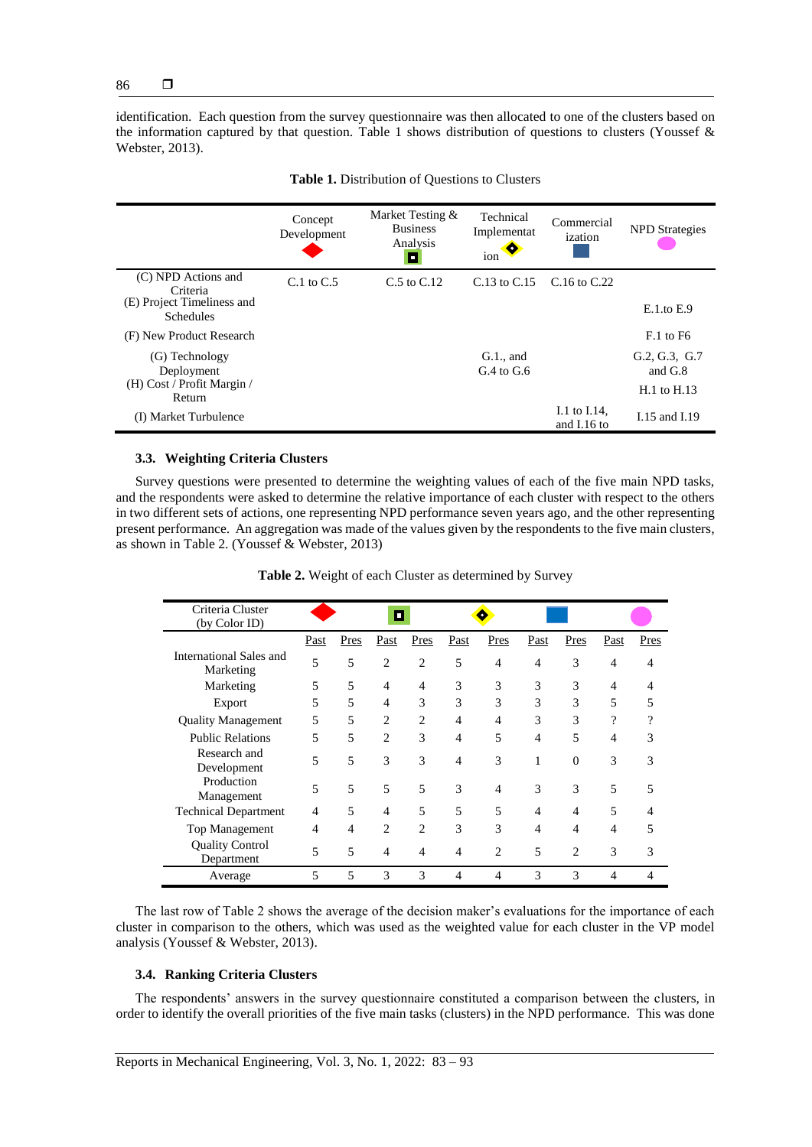identification. Each question from the survey questionnaire was then allocated to one of the clusters based on the information captured by that question. Table 1 shows distribution of questions to clusters (Youssef & Webster, 2013).

|                                                | Concept<br>Development | Market Testing &<br><b>Business</b><br>Analysis<br><b>COL</b> | Technical<br>Implementat<br>◉<br>ion | Commercial<br>ization         | <b>NPD</b> Strategies      |
|------------------------------------------------|------------------------|---------------------------------------------------------------|--------------------------------------|-------------------------------|----------------------------|
| (C) NPD Actions and<br>Criteria                | $C1$ to $C25$          | $C.5$ to $C.12$                                               | $C.13$ to $C.15$                     | $C.16$ to $C.22$              |                            |
| (E) Project Timeliness and<br><b>Schedules</b> |                        |                                                               |                                      |                               | $E.1$ .to $E.9$            |
| (F) New Product Research                       |                        |                                                               |                                      |                               | $F0$ to F6                 |
| (G) Technology<br>Deployment                   |                        |                                                               | $G.1$ ., and<br>$G.4$ to $G.6$       |                               | G.2, G.3, G.7<br>and $G.8$ |
| (H) Cost / Profit Margin /<br>Return           |                        |                                                               |                                      |                               | $H.1$ to $H.13$            |
| (I) Market Turbulence                          |                        |                                                               |                                      | I.1 to I.14,<br>and $I.16$ to | I.15 and I.19              |

| Table 1. Distribution of Questions to Clusters |  |  |
|------------------------------------------------|--|--|
|------------------------------------------------|--|--|

## **3.3. Weighting Criteria Clusters**

Survey questions were presented to determine the weighting values of each of the five main NPD tasks, and the respondents were asked to determine the relative importance of each cluster with respect to the others in two different sets of actions, one representing NPD performance seven years ago, and the other representing present performance. An aggregation was made of the values given by the respondents to the five main clusters, as shown in Table 2. (Youssef & Webster, 2013)

| Criteria Cluster<br>(by Color ID)    | О    |      |                |                |                |                |                          |                |                          |      |
|--------------------------------------|------|------|----------------|----------------|----------------|----------------|--------------------------|----------------|--------------------------|------|
|                                      | Past | Pres | Past           | Pres           | Past           | Pres           | Past                     | Pres           | Past                     | Pres |
| International Sales and<br>Marketing | 5    | 5    | $\overline{c}$ | $\overline{2}$ | 5              | 4              | $\overline{\mathcal{A}}$ | 3              | $\overline{4}$           | 4    |
| Marketing                            | 5    | 5    | $\overline{4}$ | $\overline{4}$ | 3              | 3              | 3                        | 3              | $\overline{\mathcal{A}}$ | 4    |
| Export                               | 5    | 5    | $\overline{4}$ | 3              | 3              | 3              | 3                        | 3              | 5                        | 5    |
| <b>Quality Management</b>            | 5    | 5    | 2              | $\overline{2}$ | $\overline{4}$ | 4              | 3                        | 3              | ?                        | 9    |
| <b>Public Relations</b>              | 5    | 5    | $\mathfrak{D}$ | 3              | 4              | 5              | $\overline{4}$           | 5              | $\overline{4}$           | 3    |
| Research and<br>Development          | 5    | 5    | 3              | 3              | 4              | 3              | 1                        | $\Omega$       | 3                        | 3    |
| Production<br>Management             | 5    | 5    | 5              | 5              | 3              | 4              | 3                        | 3              | 5                        | 5    |
| <b>Technical Department</b>          | 4    | 5    | 4              | 5              | 5              | 5              | $\overline{\mathcal{A}}$ | 4              | 5                        | 4    |
| Top Management                       | 4    | 4    | $\overline{2}$ | $\overline{2}$ | 3              | 3              | $\overline{\mathcal{A}}$ | 4              | $\overline{4}$           | 5    |
| <b>Quality Control</b><br>Department | 5    | 5    | 4              | $\overline{4}$ | 4              | $\overline{2}$ | 5                        | $\overline{2}$ | 3                        | 3    |
| Average                              | 5    | 5    | 3              | 3              | 4              | $\overline{4}$ | 3                        | 3              | $\overline{4}$           | 4    |

**Table 2.** Weight of each Cluster as determined by Survey

The last row of Table 2 shows the average of the decision maker's evaluations for the importance of each cluster in comparison to the others, which was used as the weighted value for each cluster in the VP model analysis (Youssef & Webster, 2013).

# **3.4. Ranking Criteria Clusters**

The respondents' answers in the survey questionnaire constituted a comparison between the clusters, in order to identify the overall priorities of the five main tasks (clusters) in the NPD performance. This was done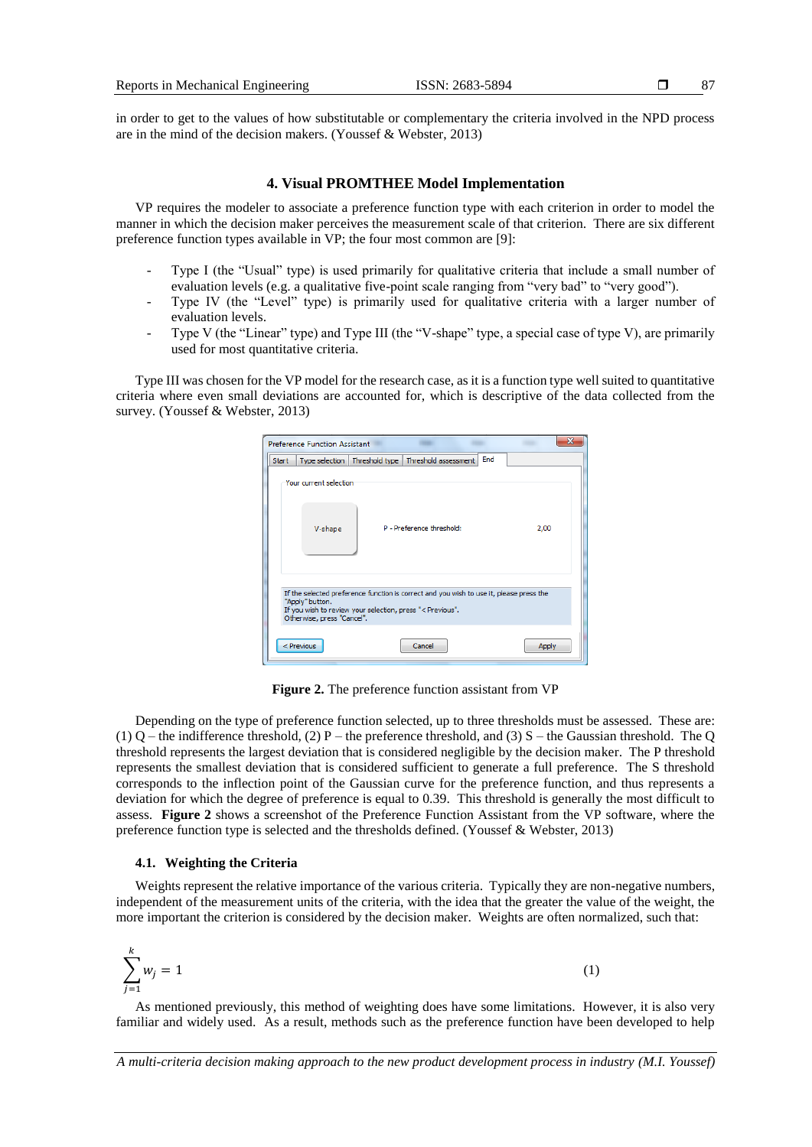in order to get to the values of how substitutable or complementary the criteria involved in the NPD process are in the mind of the decision makers. (Youssef & Webster, 2013)

## **4. Visual PROMTHEE Model Implementation**

VP requires the modeler to associate a preference function type with each criterion in order to model the manner in which the decision maker perceives the measurement scale of that criterion. There are six different preference function types available in VP; the four most common are [9]:

- Type I (the "Usual" type) is used primarily for qualitative criteria that include a small number of evaluation levels (e.g. a qualitative five-point scale ranging from "very bad" to "very good").
- Type IV (the "Level" type) is primarily used for qualitative criteria with a larger number of evaluation levels.
- Type V (the "Linear" type) and Type III (the "V-shape" type, a special case of type V), are primarily used for most quantitative criteria.

Type III was chosen for the VP model for the research case, as it is a function type well suited to quantitative criteria where even small deviations are accounted for, which is descriptive of the data collected from the survey. (Youssef & Webster, 2013)

|                                                                                                                                                                                                       | <b>Preference Function Assistant</b> |  |                                                        |     |       |  |  |
|-------------------------------------------------------------------------------------------------------------------------------------------------------------------------------------------------------|--------------------------------------|--|--------------------------------------------------------|-----|-------|--|--|
| <b>Start</b>                                                                                                                                                                                          |                                      |  | Type selection   Threshold type   Threshold assessment | End |       |  |  |
|                                                                                                                                                                                                       | Your current selection               |  |                                                        |     |       |  |  |
|                                                                                                                                                                                                       | V-shape                              |  | P - Preference threshold:                              |     | 2,00  |  |  |
| If the selected preference function is correct and you wish to use it, please press the<br>"Apply" button.<br>If you wish to review your selection, press "< Previous".<br>Otherwise, press "Cancel". |                                      |  |                                                        |     |       |  |  |
|                                                                                                                                                                                                       | $<$ Previous                         |  | Cancel                                                 |     | Apply |  |  |

**Figure 2.** The preference function assistant from VP

Depending on the type of preference function selected, up to three thresholds must be assessed. These are: (1) Q – the indifference threshold, (2) P – the preference threshold, and (3) S – the Gaussian threshold. The Q threshold represents the largest deviation that is considered negligible by the decision maker. The P threshold represents the smallest deviation that is considered sufficient to generate a full preference. The S threshold corresponds to the inflection point of the Gaussian curve for the preference function, and thus represents a deviation for which the degree of preference is equal to 0.39. This threshold is generally the most difficult to assess. **Figure 2** shows a screenshot of the Preference Function Assistant from the VP software, where the preference function type is selected and the thresholds defined. (Youssef & Webster, 2013)

#### **4.1. Weighting the Criteria**

Weights represent the relative importance of the various criteria. Typically they are non-negative numbers, independent of the measurement units of the criteria, with the idea that the greater the value of the weight, the more important the criterion is considered by the decision maker. Weights are often normalized, such that:

$$
\sum_{j=1}^{k} w_j = 1 \tag{1}
$$

As mentioned previously, this method of weighting does have some limitations. However, it is also very familiar and widely used. As a result, methods such as the preference function have been developed to help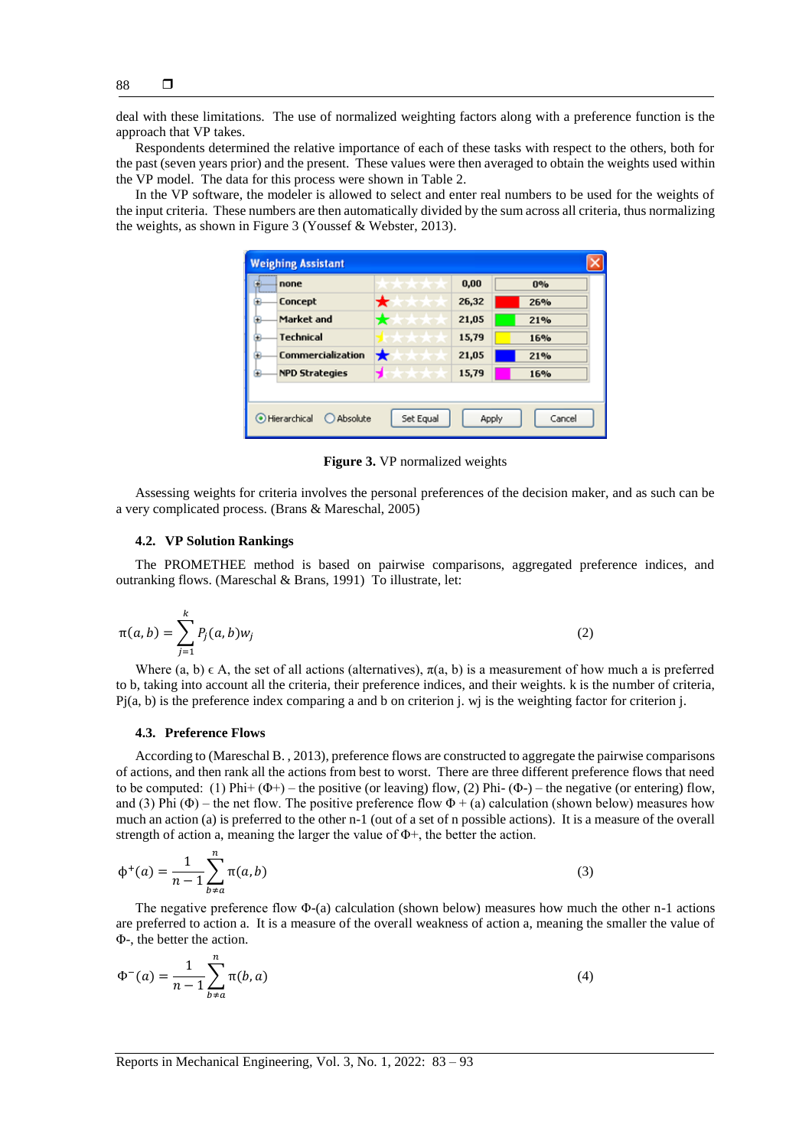deal with these limitations. The use of normalized weighting factors along with a preference function is the approach that VP takes.

Respondents determined the relative importance of each of these tasks with respect to the others, both for the past (seven years prior) and the present. These values were then averaged to obtain the weights used within the VP model. The data for this process were shown in Table 2.

In the VP software, the modeler is allowed to select and enter real numbers to be used for the weights of the input criteria. These numbers are then automatically divided by the sum across all criteria, thus normalizing the weights, as shown in Figure 3 (Youssef & Webster, 2013).

| none                     | <b><i>CARLO CARDONALE</i></b> | 0,00  | 0%         |
|--------------------------|-------------------------------|-------|------------|
| <b>Concept</b>           | <b>TERRITA</b>                | 26,32 | 26%        |
| Market and               | <b>Contractor</b>             | 21,05 | 21%        |
| <b>Technical</b>         | <b>Provincia</b>              | 15,79 | <b>16%</b> |
| <b>Commercialization</b> |                               | 21,05 | 21%        |
| <b>NPD Strategies</b>    | スオオ<br>×                      | 15,79 | 16%        |

**Figure 3.** VP normalized weights

Assessing weights for criteria involves the personal preferences of the decision maker, and as such can be a very complicated process. (Brans & Mareschal, 2005)

#### **4.2. VP Solution Rankings**

The PROMETHEE method is based on pairwise comparisons, aggregated preference indices, and outranking flows. (Mareschal & Brans, 1991) To illustrate, let:

$$
\pi(a,b) = \sum_{j=1}^{k} P_j(a,b) w_j
$$
 (2)

Where (a, b)  $\in$  A, the set of all actions (alternatives),  $\pi$ (a, b) is a measurement of how much a is preferred to b, taking into account all the criteria, their preference indices, and their weights. k is the number of criteria, Pj(a, b) is the preference index comparing a and b on criterion j. wj is the weighting factor for criterion j.

#### **4.3. Preference Flows**

According to (Mareschal B. , 2013), preference flows are constructed to aggregate the pairwise comparisons of actions, and then rank all the actions from best to worst. There are three different preference flows that need to be computed: (1)  $\text{Phi} + (\Phi^+) - \text{the positive (or leaving) flow},$  (2)  $\text{Phi} - \text{the negative (or entering) flow},$ and (3) Phi  $(\Phi)$  – the net flow. The positive preference flow  $\Phi$  + (a) calculation (shown below) measures how much an action (a) is preferred to the other n-1 (out of a set of n possible actions). It is a measure of the overall strength of action a, meaning the larger the value of  $\Phi$ +, the better the action.

$$
\phi^+(a) = \frac{1}{n-1} \sum_{b \neq a}^{n} \pi(a, b)
$$
 (3)

The negative preference flow Φ-(a) calculation (shown below) measures how much the other n-1 actions are preferred to action a. It is a measure of the overall weakness of action a, meaning the smaller the value of Φ-, the better the action.

$$
\Phi^{-}(a) = \frac{1}{n-1} \sum_{b \neq a}^{n} \pi(b, a)
$$
\n(4)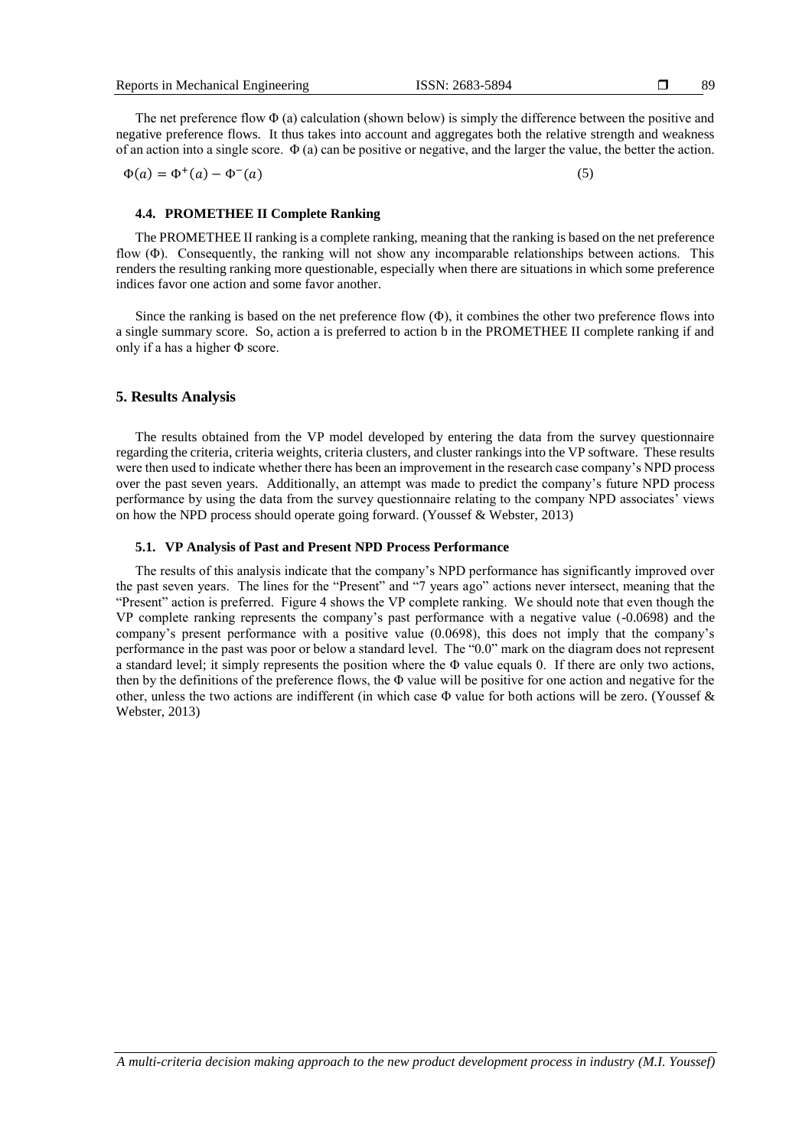The net preference flow  $\Phi$  (a) calculation (shown below) is simply the difference between the positive and negative preference flows. It thus takes into account and aggregates both the relative strength and weakness of an action into a single score.  $\Phi$  (a) can be positive or negative, and the larger the value, the better the action.

$$
\Phi(a) = \Phi^+(a) - \Phi^-(a) \tag{5}
$$

## **4.4. PROMETHEE II Complete Ranking**

The PROMETHEE II ranking is a complete ranking, meaning that the ranking is based on the net preference flow (Φ). Consequently, the ranking will not show any incomparable relationships between actions. This renders the resulting ranking more questionable, especially when there are situations in which some preference indices favor one action and some favor another.

Since the ranking is based on the net preference flow  $(\Phi)$ , it combines the other two preference flows into a single summary score. So, action a is preferred to action b in the PROMETHEE II complete ranking if and only if a has a higher  $\Phi$  score.

#### **5. Results Analysis**

The results obtained from the VP model developed by entering the data from the survey questionnaire regarding the criteria, criteria weights, criteria clusters, and cluster rankings into the VP software. These results were then used to indicate whether there has been an improvement in the research case company's NPD process over the past seven years. Additionally, an attempt was made to predict the company's future NPD process performance by using the data from the survey questionnaire relating to the company NPD associates' views on how the NPD process should operate going forward. (Youssef & Webster, 2013)

### **5.1. VP Analysis of Past and Present NPD Process Performance**

The results of this analysis indicate that the company's NPD performance has significantly improved over the past seven years. The lines for the "Present" and "7 years ago" actions never intersect, meaning that the "Present" action is preferred. Figure 4 shows the VP complete ranking. We should note that even though the VP complete ranking represents the company's past performance with a negative value (-0.0698) and the company's present performance with a positive value (0.0698), this does not imply that the company's performance in the past was poor or below a standard level. The "0.0" mark on the diagram does not represent a standard level; it simply represents the position where the Φ value equals 0. If there are only two actions, then by the definitions of the preference flows, the Φ value will be positive for one action and negative for the other, unless the two actions are indifferent (in which case Φ value for both actions will be zero. (Youssef & Webster, 2013)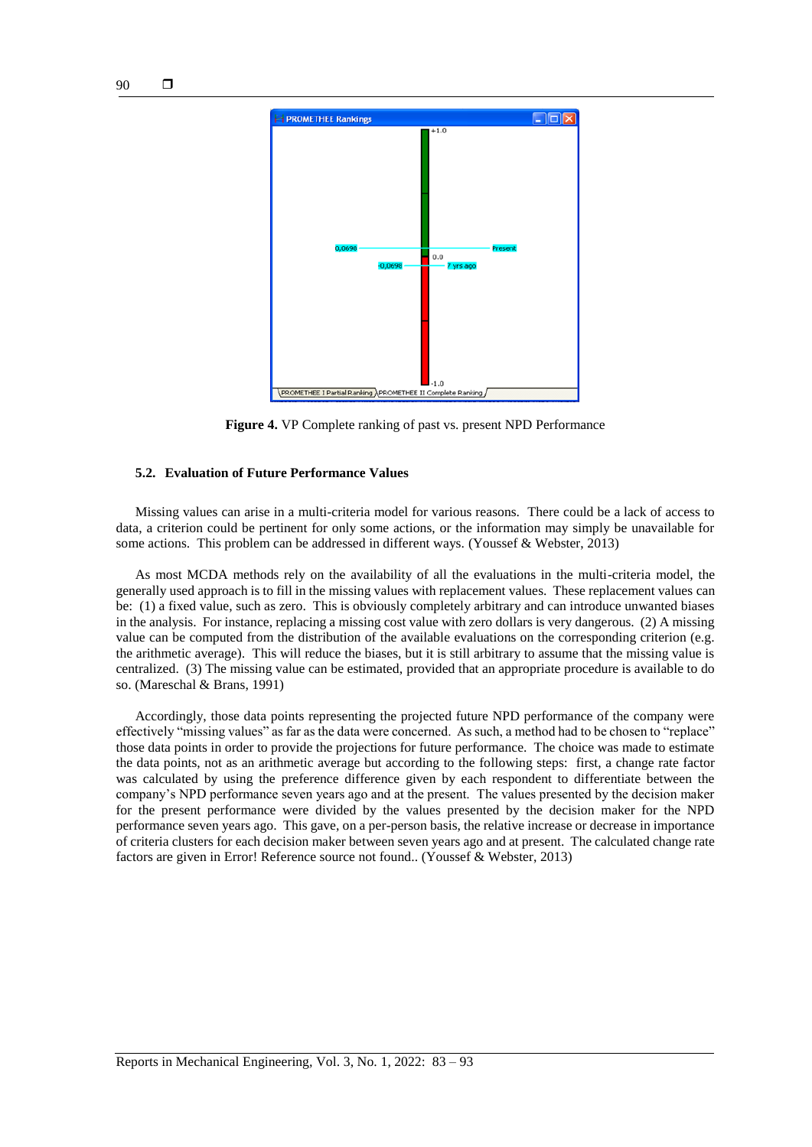

**Figure 4.** VP Complete ranking of past vs. present NPD Performance

#### **5.2. Evaluation of Future Performance Values**

Missing values can arise in a multi-criteria model for various reasons. There could be a lack of access to data, a criterion could be pertinent for only some actions, or the information may simply be unavailable for some actions. This problem can be addressed in different ways. (Youssef & Webster, 2013)

As most MCDA methods rely on the availability of all the evaluations in the multi-criteria model, the generally used approach is to fill in the missing values with replacement values. These replacement values can be: (1) a fixed value, such as zero. This is obviously completely arbitrary and can introduce unwanted biases in the analysis. For instance, replacing a missing cost value with zero dollars is very dangerous. (2) A missing value can be computed from the distribution of the available evaluations on the corresponding criterion (e.g. the arithmetic average). This will reduce the biases, but it is still arbitrary to assume that the missing value is centralized. (3) The missing value can be estimated, provided that an appropriate procedure is available to do so. (Mareschal & Brans, 1991)

Accordingly, those data points representing the projected future NPD performance of the company were effectively "missing values" as far as the data were concerned. As such, a method had to be chosen to "replace" those data points in order to provide the projections for future performance. The choice was made to estimate the data points, not as an arithmetic average but according to the following steps: first, a change rate factor was calculated by using the preference difference given by each respondent to differentiate between the company's NPD performance seven years ago and at the present. The values presented by the decision maker for the present performance were divided by the values presented by the decision maker for the NPD performance seven years ago. This gave, on a per-person basis, the relative increase or decrease in importance of criteria clusters for each decision maker between seven years ago and at present. The calculated change rate factors are given in Error! Reference source not found.. (Youssef & Webster, 2013)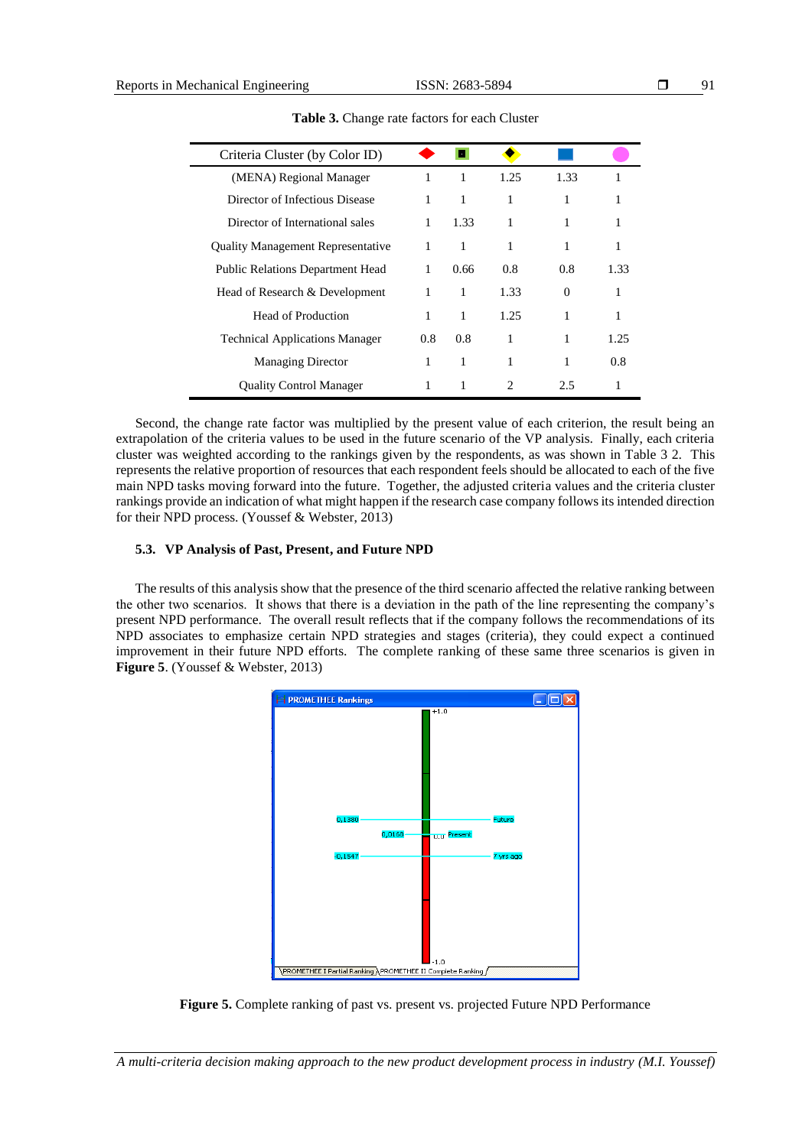| ۰, |
|----|
|----|

| Criteria Cluster (by Color ID)           |              | ы    |                             |          |      |
|------------------------------------------|--------------|------|-----------------------------|----------|------|
| (MENA) Regional Manager                  | 1            | 1    | 1.25                        | 1.33     |      |
| Director of Infectious Disease           | 1            | 1    | 1                           | 1        |      |
| Director of International sales          | 1            | 1.33 |                             | 1        |      |
| <b>Quality Management Representative</b> | 1            | 1    |                             | 1        |      |
| <b>Public Relations Department Head</b>  | $\mathbf{1}$ | 0.66 | 0.8                         | 0.8      | 1.33 |
| Head of Research & Development           | 1            | 1    | 1.33                        | $\Omega$ | 1    |
| Head of Production                       | 1            | 1    | 1.25                        | 1        | 1    |
| <b>Technical Applications Manager</b>    | 0.8          | 0.8  |                             |          | 1.25 |
| <b>Managing Director</b>                 | 1            | 1    | 1                           | 1        | 0.8  |
| <b>Ouality Control Manager</b>           |              |      | $\mathcal{D}_{\mathcal{L}}$ | 2.5      |      |

**Table 3.** Change rate factors for each Cluster

Second, the change rate factor was multiplied by the present value of each criterion, the result being an extrapolation of the criteria values to be used in the future scenario of the VP analysis. Finally, each criteria cluster was weighted according to the rankings given by the respondents, as was shown in Table 3 2. This represents the relative proportion of resources that each respondent feels should be allocated to each of the five main NPD tasks moving forward into the future. Together, the adjusted criteria values and the criteria cluster rankings provide an indication of what might happen if the research case company follows its intended direction for their NPD process. (Youssef & Webster, 2013)

# **5.3. VP Analysis of Past, Present, and Future NPD**

The results of this analysis show that the presence of the third scenario affected the relative ranking between the other two scenarios. It shows that there is a deviation in the path of the line representing the company's present NPD performance. The overall result reflects that if the company follows the recommendations of its NPD associates to emphasize certain NPD strategies and stages (criteria), they could expect a continued improvement in their future NPD efforts. The complete ranking of these same three scenarios is given in **Figure 5**. (Youssef & Webster, 2013)



**Figure 5.** Complete ranking of past vs. present vs. projected Future NPD Performance

*A multi-criteria decision making approach to the new product development process in industry (M.I. Youssef)*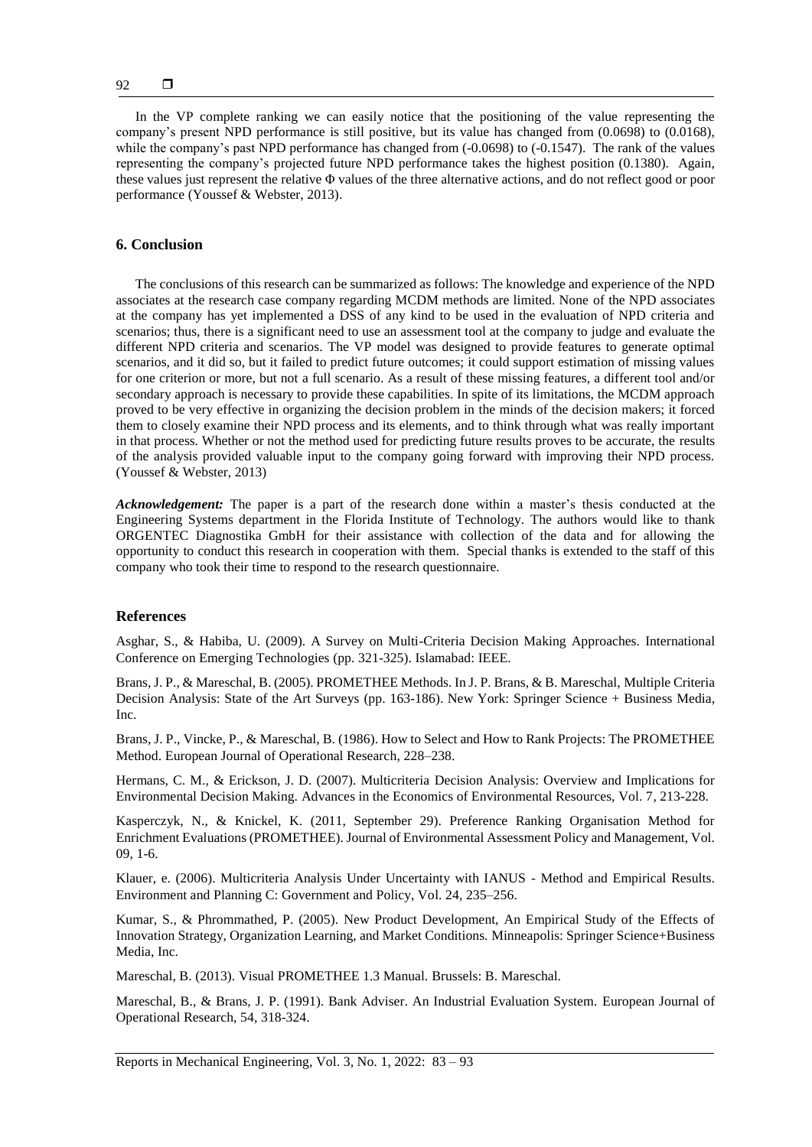In the VP complete ranking we can easily notice that the positioning of the value representing the company's present NPD performance is still positive, but its value has changed from (0.0698) to (0.0168), while the company's past NPD performance has changed from  $(-0.0698)$  to  $(-0.1547)$ . The rank of the values representing the company's projected future NPD performance takes the highest position (0.1380). Again, these values just represent the relative Φ values of the three alternative actions, and do not reflect good or poor performance (Youssef & Webster, 2013).

## **6. Conclusion**

The conclusions of this research can be summarized as follows: The knowledge and experience of the NPD associates at the research case company regarding MCDM methods are limited. None of the NPD associates at the company has yet implemented a DSS of any kind to be used in the evaluation of NPD criteria and scenarios; thus, there is a significant need to use an assessment tool at the company to judge and evaluate the different NPD criteria and scenarios. The VP model was designed to provide features to generate optimal scenarios, and it did so, but it failed to predict future outcomes; it could support estimation of missing values for one criterion or more, but not a full scenario. As a result of these missing features, a different tool and/or secondary approach is necessary to provide these capabilities. In spite of its limitations, the MCDM approach proved to be very effective in organizing the decision problem in the minds of the decision makers; it forced them to closely examine their NPD process and its elements, and to think through what was really important in that process. Whether or not the method used for predicting future results proves to be accurate, the results of the analysis provided valuable input to the company going forward with improving their NPD process. (Youssef & Webster, 2013)

*Acknowledgement:* The paper is a part of the research done within a master's thesis conducted at the Engineering Systems department in the Florida Institute of Technology. The authors would like to thank ORGENTEC Diagnostika GmbH for their assistance with collection of the data and for allowing the opportunity to conduct this research in cooperation with them. Special thanks is extended to the staff of this company who took their time to respond to the research questionnaire.

### **References**

Asghar, S., & Habiba, U. (2009). A Survey on Multi-Criteria Decision Making Approaches. International Conference on Emerging Technologies (pp. 321-325). Islamabad: IEEE.

Brans, J. P., & Mareschal, B. (2005). PROMETHEE Methods. In J. P. Brans, & B. Mareschal, Multiple Criteria Decision Analysis: State of the Art Surveys (pp. 163-186). New York: Springer Science + Business Media, Inc.

Brans, J. P., Vincke, P., & Mareschal, B. (1986). How to Select and How to Rank Projects: The PROMETHEE Method. European Journal of Operational Research, 228–238.

Hermans, C. M., & Erickson, J. D. (2007). Multicriteria Decision Analysis: Overview and Implications for Environmental Decision Making. Advances in the Economics of Environmental Resources, Vol. 7, 213-228.

Kasperczyk, N., & Knickel, K. (2011, September 29). Preference Ranking Organisation Method for Enrichment Evaluations (PROMETHEE). Journal of Environmental Assessment Policy and Management, Vol. 09, 1-6.

Klauer, e. (2006). Multicriteria Analysis Under Uncertainty with IANUS - Method and Empirical Results. Environment and Planning C: Government and Policy, Vol. 24, 235–256.

Kumar, S., & Phrommathed, P. (2005). New Product Development, An Empirical Study of the Effects of Innovation Strategy, Organization Learning, and Market Conditions. Minneapolis: Springer Science+Business Media, Inc.

Mareschal, B. (2013). Visual PROMETHEE 1.3 Manual. Brussels: B. Mareschal.

Mareschal, B., & Brans, J. P. (1991). Bank Adviser. An Industrial Evaluation System. European Journal of Operational Research, 54, 318-324.